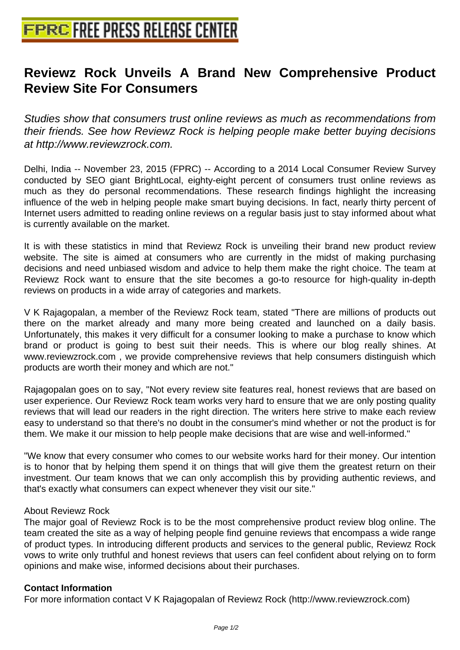## **[Reviewz Rock Unveils A Brand](http://www.free-press-release-center.info) New Comprehensive Product Review Site For Consumers**

Studies show that consumers trust online reviews as much as recommendations from their friends. See how Reviewz Rock is helping people make better buying decisions at http://www.reviewzrock.com.

Delhi, India -- November 23, 2015 (FPRC) -- According to a 2014 Local Consumer Review Survey conducted by SEO giant BrightLocal, eighty-eight percent of consumers trust online reviews as much as they do personal recommendations. These research findings highlight the increasing influence of the web in helping people make smart buying decisions. In fact, nearly thirty percent of Internet users admitted to reading online reviews on a regular basis just to stay informed about what is currently available on the market.

It is with these statistics in mind that Reviewz Rock is unveiling their brand new product review website. The site is aimed at consumers who are currently in the midst of making purchasing decisions and need unbiased wisdom and advice to help them make the right choice. The team at Reviewz Rock want to ensure that the site becomes a go-to resource for high-quality in-depth reviews on products in a wide array of categories and markets.

V K Rajagopalan, a member of the Reviewz Rock team, stated "There are millions of products out there on the market already and many more being created and launched on a daily basis. Unfortunately, this makes it very difficult for a consumer looking to make a purchase to know which brand or product is going to best suit their needs. This is where our blog really shines. At www.reviewzrock.com , we provide comprehensive reviews that help consumers distinguish which products are worth their money and which are not."

Rajagopalan goes on to say, "Not every review site features real, honest reviews that are based on user experience. Our Reviewz Rock team works very hard to ensure that we are only posting quality reviews that will lead our readers in the right direction. The writers here strive to make each review easy to understand so that there's no doubt in the consumer's mind whether or not the product is for them. We make it our mission to help people make decisions that are wise and well-informed."

"We know that every consumer who comes to our website works hard for their money. Our intention is to honor that by helping them spend it on things that will give them the greatest return on their investment. Our team knows that we can only accomplish this by providing authentic reviews, and that's exactly what consumers can expect whenever they visit our site."

## About Reviewz Rock

The major goal of Reviewz Rock is to be the most comprehensive product review blog online. The team created the site as a way of helping people find genuine reviews that encompass a wide range of product types. In introducing different products and services to the general public, Reviewz Rock vows to write only truthful and honest reviews that users can feel confident about relying on to form opinions and make wise, informed decisions about their purchases.

## **Contact Information**

For more information contact V K Rajagopalan of Reviewz Rock (http://www.reviewzrock.com)